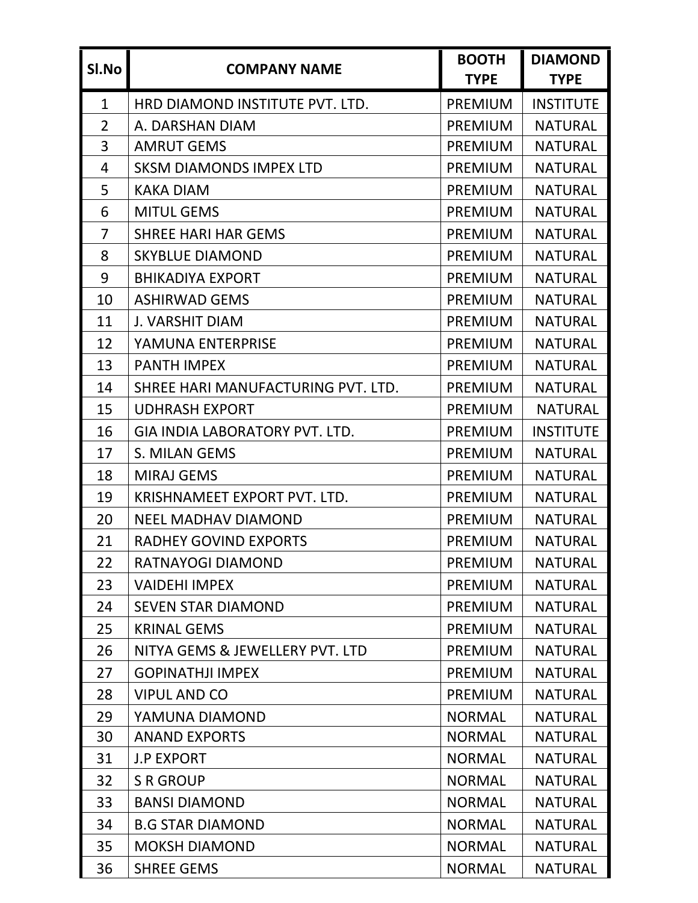| SI.No        | <b>COMPANY NAME</b>                | <b>BOOTH</b><br><b>TYPE</b> | <b>DIAMOND</b><br><b>TYPE</b> |
|--------------|------------------------------------|-----------------------------|-------------------------------|
| $\mathbf{1}$ | HRD DIAMOND INSTITUTE PVT. LTD.    | <b>PREMIUM</b>              | <b>INSTITUTE</b>              |
| 2            | A. DARSHAN DIAM                    | <b>PREMIUM</b>              | <b>NATURAL</b>                |
| 3            | <b>AMRUT GEMS</b>                  | <b>PREMIUM</b>              | <b>NATURAL</b>                |
| 4            | <b>SKSM DIAMONDS IMPEX LTD</b>     | <b>PREMIUM</b>              | <b>NATURAL</b>                |
| 5            | <b>KAKA DIAM</b>                   | <b>PREMIUM</b>              | <b>NATURAL</b>                |
| 6            | <b>MITUL GEMS</b>                  | <b>PREMIUM</b>              | <b>NATURAL</b>                |
| 7            | <b>SHREE HARI HAR GEMS</b>         | <b>PREMIUM</b>              | <b>NATURAL</b>                |
| 8            | <b>SKYBLUE DIAMOND</b>             | <b>PREMIUM</b>              | <b>NATURAL</b>                |
| 9            | <b>BHIKADIYA EXPORT</b>            | <b>PREMIUM</b>              | <b>NATURAL</b>                |
| 10           | <b>ASHIRWAD GEMS</b>               | <b>PREMIUM</b>              | <b>NATURAL</b>                |
| 11           | <b>J. VARSHIT DIAM</b>             | <b>PREMIUM</b>              | <b>NATURAL</b>                |
| 12           | YAMUNA ENTERPRISE                  | PREMIUM                     | <b>NATURAL</b>                |
| 13           | <b>PANTH IMPEX</b>                 | <b>PREMIUM</b>              | <b>NATURAL</b>                |
| 14           | SHREE HARI MANUFACTURING PVT. LTD. | <b>PREMIUM</b>              | <b>NATURAL</b>                |
| 15           | <b>UDHRASH EXPORT</b>              | <b>PREMIUM</b>              | <b>NATURAL</b>                |
| 16           | GIA INDIA LABORATORY PVT. LTD.     | <b>PREMIUM</b>              | <b>INSTITUTE</b>              |
| 17           | S. MILAN GEMS                      | <b>PREMIUM</b>              | <b>NATURAL</b>                |
| 18           | <b>MIRAJ GEMS</b>                  | <b>PREMIUM</b>              | <b>NATURAL</b>                |
| 19           | KRISHNAMEET EXPORT PVT. LTD.       | <b>PREMIUM</b>              | <b>NATURAL</b>                |
| 20           | <b>NEEL MADHAV DIAMOND</b>         | <b>PREMIUM</b>              | <b>NATURAL</b>                |
| 21           | <b>RADHEY GOVIND EXPORTS</b>       | <b>PREMIUM</b>              | <b>NATURAL</b>                |
| 22           | RATNAYOGI DIAMOND                  | <b>PREMIUM</b>              | <b>NATURAL</b>                |
| 23           | <b>VAIDEHI IMPEX</b>               | <b>PREMIUM</b>              | <b>NATURAL</b>                |
| 24           | <b>SEVEN STAR DIAMOND</b>          | <b>PREMIUM</b>              | <b>NATURAL</b>                |
| 25           | <b>KRINAL GEMS</b>                 | <b>PREMIUM</b>              | <b>NATURAL</b>                |
| 26           | NITYA GEMS & JEWELLERY PVT. LTD    | <b>PREMIUM</b>              | <b>NATURAL</b>                |
| 27           | <b>GOPINATHJI IMPEX</b>            | <b>PREMIUM</b>              | <b>NATURAL</b>                |
| 28           | <b>VIPUL AND CO</b>                | <b>PREMIUM</b>              | <b>NATURAL</b>                |
| 29           | YAMUNA DIAMOND                     | <b>NORMAL</b>               | <b>NATURAL</b>                |
| 30           | <b>ANAND EXPORTS</b>               | <b>NORMAL</b>               | <b>NATURAL</b>                |
| 31           | <b>J.P EXPORT</b>                  | <b>NORMAL</b>               | <b>NATURAL</b>                |
| 32           | <b>S R GROUP</b>                   | <b>NORMAL</b>               | <b>NATURAL</b>                |
| 33           | <b>BANSI DIAMOND</b>               | <b>NORMAL</b>               | <b>NATURAL</b>                |
| 34           | <b>B.G STAR DIAMOND</b>            | <b>NORMAL</b>               | <b>NATURAL</b>                |
| 35           | <b>MOKSH DIAMOND</b>               | <b>NORMAL</b>               | <b>NATURAL</b>                |
| 36           | <b>SHREE GEMS</b>                  | <b>NORMAL</b>               | <b>NATURAL</b>                |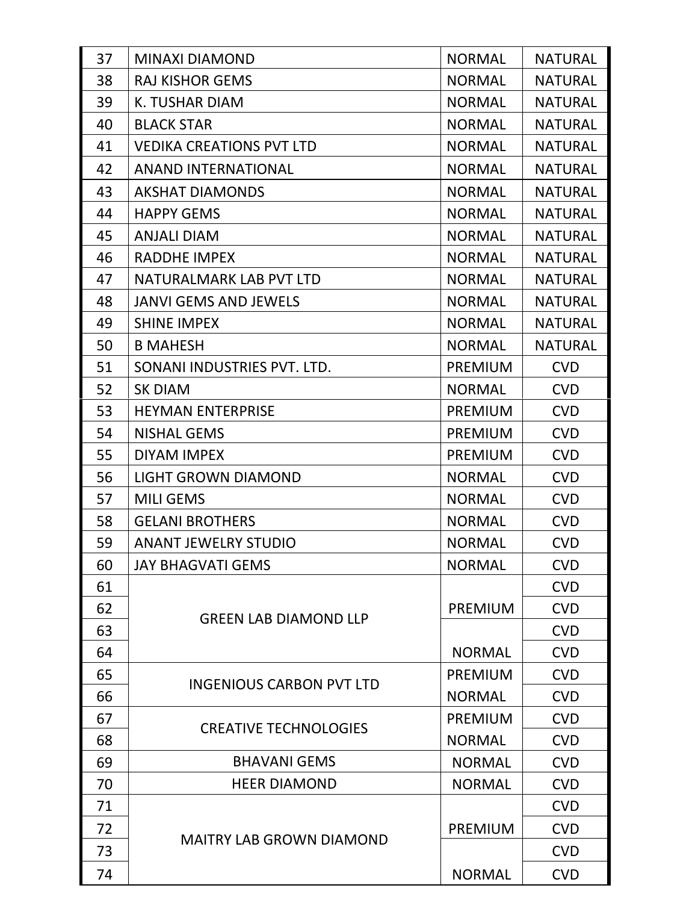| 37 | <b>MINAXI DIAMOND</b>           | <b>NORMAL</b>  | <b>NATURAL</b> |
|----|---------------------------------|----------------|----------------|
| 38 | <b>RAJ KISHOR GEMS</b>          | <b>NORMAL</b>  | <b>NATURAL</b> |
| 39 | K. TUSHAR DIAM                  | <b>NORMAL</b>  | <b>NATURAL</b> |
| 40 | <b>BLACK STAR</b>               | <b>NORMAL</b>  | <b>NATURAL</b> |
| 41 | <b>VEDIKA CREATIONS PVT LTD</b> | <b>NORMAL</b>  | <b>NATURAL</b> |
| 42 | <b>ANAND INTERNATIONAL</b>      | <b>NORMAL</b>  | <b>NATURAL</b> |
| 43 | <b>AKSHAT DIAMONDS</b>          | <b>NORMAL</b>  | <b>NATURAL</b> |
| 44 | <b>HAPPY GEMS</b>               | <b>NORMAL</b>  | <b>NATURAL</b> |
| 45 | <b>ANJALI DIAM</b>              | <b>NORMAL</b>  | <b>NATURAL</b> |
| 46 | RADDHE IMPEX                    | <b>NORMAL</b>  | <b>NATURAL</b> |
| 47 | NATURALMARK LAB PVT LTD         | <b>NORMAL</b>  | <b>NATURAL</b> |
| 48 | <b>JANVI GEMS AND JEWELS</b>    | <b>NORMAL</b>  | <b>NATURAL</b> |
| 49 | <b>SHINE IMPEX</b>              | <b>NORMAL</b>  | <b>NATURAL</b> |
| 50 | <b>B MAHESH</b>                 | <b>NORMAL</b>  | <b>NATURAL</b> |
| 51 | SONANI INDUSTRIES PVT. LTD.     | <b>PREMIUM</b> | <b>CVD</b>     |
| 52 | <b>SK DIAM</b>                  | <b>NORMAL</b>  | <b>CVD</b>     |
| 53 | <b>HEYMAN ENTERPRISE</b>        | PREMIUM        | <b>CVD</b>     |
| 54 | <b>NISHAL GEMS</b>              | <b>PREMIUM</b> | <b>CVD</b>     |
| 55 | <b>DIYAM IMPEX</b>              | <b>PREMIUM</b> | <b>CVD</b>     |
| 56 | <b>LIGHT GROWN DIAMOND</b>      | <b>NORMAL</b>  | <b>CVD</b>     |
| 57 | <b>MILI GEMS</b>                | <b>NORMAL</b>  | <b>CVD</b>     |
| 58 | <b>GELANI BROTHERS</b>          | <b>NORMAL</b>  | <b>CVD</b>     |
| 59 | <b>ANANT JEWELRY STUDIO</b>     | <b>NORMAL</b>  | <b>CVD</b>     |
| 60 | <b>JAY BHAGVATI GEMS</b>        | <b>NORMAL</b>  | <b>CVD</b>     |
| 61 |                                 |                | <b>CVD</b>     |
| 62 | <b>GREEN LAB DIAMOND LLP</b>    | <b>PREMIUM</b> | <b>CVD</b>     |
| 63 |                                 |                | <b>CVD</b>     |
| 64 |                                 | <b>NORMAL</b>  | <b>CVD</b>     |
| 65 | <b>INGENIOUS CARBON PVT LTD</b> | <b>PREMIUM</b> | <b>CVD</b>     |
| 66 |                                 | <b>NORMAL</b>  | <b>CVD</b>     |
| 67 | <b>CREATIVE TECHNOLOGIES</b>    | <b>PREMIUM</b> | <b>CVD</b>     |
| 68 |                                 | <b>NORMAL</b>  | <b>CVD</b>     |
| 69 | <b>BHAVANI GEMS</b>             | <b>NORMAL</b>  | <b>CVD</b>     |
| 70 | <b>HEER DIAMOND</b>             | <b>NORMAL</b>  | <b>CVD</b>     |
| 71 |                                 |                | <b>CVD</b>     |
| 72 | <b>MAITRY LAB GROWN DIAMOND</b> | <b>PREMIUM</b> | <b>CVD</b>     |
| 73 |                                 |                | <b>CVD</b>     |
| 74 |                                 | <b>NORMAL</b>  | <b>CVD</b>     |